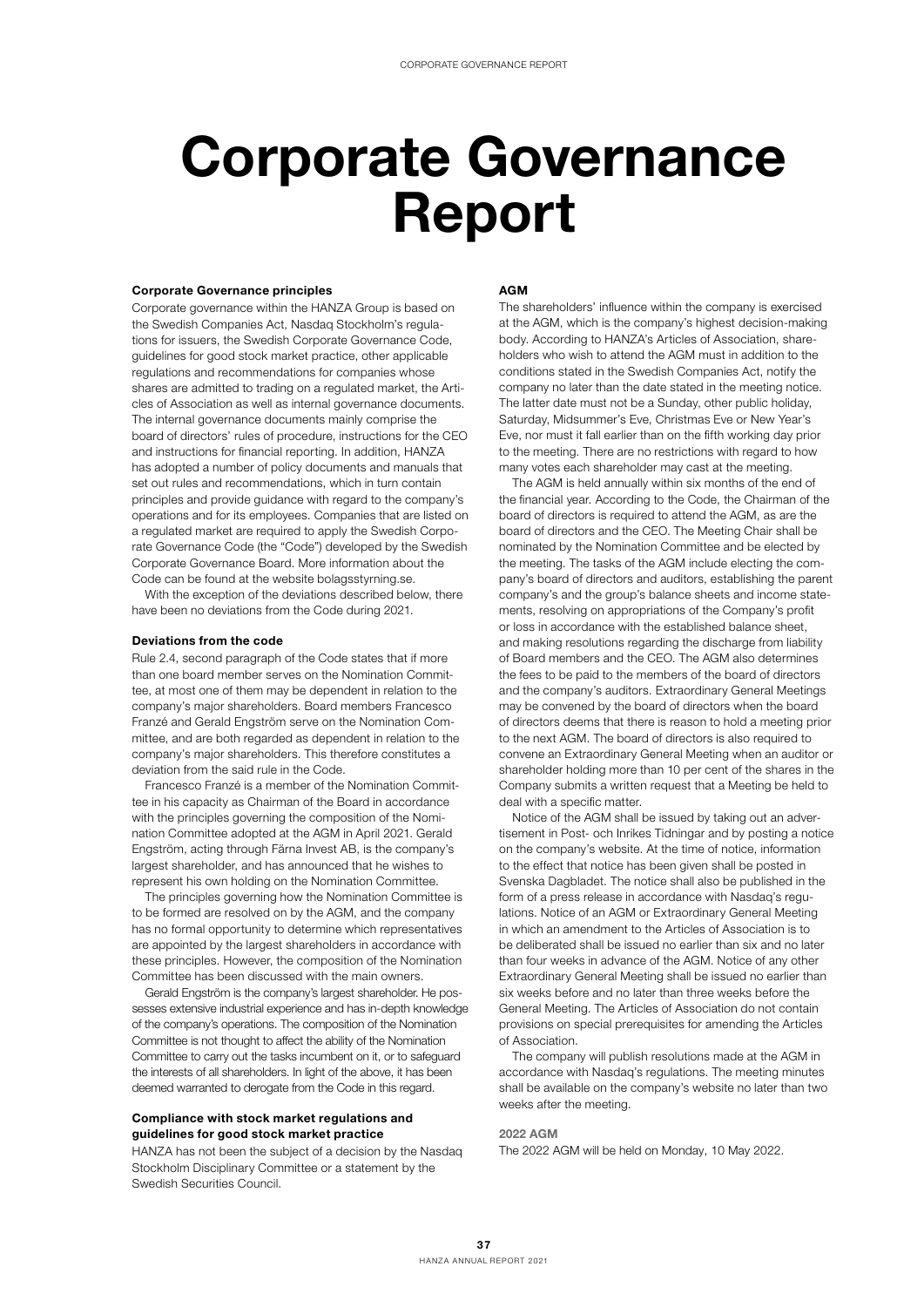# Corporate Governance Report

## Corporate Governance principles

Corporate governance within the HANZA Group is based on the Swedish Companies Act, Nasdaq Stockholm's regulations for issuers, the Swedish Corporate Governance Code, guidelines for good stock market practice, other applicable regulations and recommendations for companies whose shares are admitted to trading on a regulated market, the Articles of Association as well as internal governance documents. The internal governance documents mainly comprise the board of directors' rules of procedure, instructions for the CEO and instructions for financial reporting. In addition, HANZA has adopted a number of policy documents and manuals that set out rules and recommendations, which in turn contain principles and provide guidance with regard to the company's operations and for its employees. Companies that are listed on a regulated market are required to apply the Swedish Corporate Governance Code (the "Code") developed by the Swedish Corporate Governance Board. More information about the Code can be found at the website bolagsstyrning.se.

With the exception of the deviations described below, there have been no deviations from the Code during 2021.

## Deviations from the code

Rule 2.4, second paragraph of the Code states that if more than one board member serves on the Nomination Committee, at most one of them may be dependent in relation to the company's major shareholders. Board members Francesco Franzé and Gerald Engström serve on the Nomination Committee, and are both regarded as dependent in relation to the company's major shareholders. This therefore constitutes a deviation from the said rule in the Code.

Francesco Franzé is a member of the Nomination Committee in his capacity as Chairman of the Board in accordance with the principles governing the composition of the Nomination Committee adopted at the AGM in April 2021. Gerald Engström, acting through Färna Invest AB, is the company's largest shareholder, and has announced that he wishes to represent his own holding on the Nomination Committee.

The principles governing how the Nomination Committee is to be formed are resolved on by the AGM, and the company has no formal opportunity to determine which representatives are appointed by the largest shareholders in accordance with these principles. However, the composition of the Nomination Committee has been discussed with the main owners.

Gerald Engström is the company's largest shareholder. He possesses extensive industrial experience and has in-depth knowledge of the company's operations. The composition of the Nomination Committee is not thought to affect the ability of the Nomination Committee to carry out the tasks incumbent on it, or to safeguard the interests of all shareholders. In light of the above, it has been deemed warranted to derogate from the Code in this regard.

# Compliance with stock market regulations and guidelines for good stock market practice

HANZA has not been the subject of a decision by the Nasdaq Stockholm Disciplinary Committee or a statement by the Swedish Securities Council.

## AGM

The shareholders' influence within the company is exercised at the AGM, which is the company's highest decision-making body. According to HANZA's Articles of Association, shareholders who wish to attend the AGM must in addition to the conditions stated in the Swedish Companies Act, notify the company no later than the date stated in the meeting notice. The latter date must not be a Sunday, other public holiday, Saturday, Midsummer's Eve, Christmas Eve or New Year's Eve, nor must it fall earlier than on the fifth working day prior to the meeting. There are no restrictions with regard to how many votes each shareholder may cast at the meeting.

The AGM is held annually within six months of the end of the financial year. According to the Code, the Chairman of the board of directors is required to attend the AGM, as are the board of directors and the CEO. The Meeting Chair shall be nominated by the Nomination Committee and be elected by the meeting. The tasks of the AGM include electing the company's board of directors and auditors, establishing the parent company's and the group's balance sheets and income statements, resolving on appropriations of the Company's profit or loss in accordance with the established balance sheet, and making resolutions regarding the discharge from liability of Board members and the CEO. The AGM also determines the fees to be paid to the members of the board of directors and the company's auditors. Extraordinary General Meetings may be convened by the board of directors when the board of directors deems that there is reason to hold a meeting prior to the next AGM. The board of directors is also required to convene an Extraordinary General Meeting when an auditor or shareholder holding more than 10 per cent of the shares in the Company submits a written request that a Meeting be held to deal with a specific matter.

Notice of the AGM shall be issued by taking out an advertisement in Post- och Inrikes Tidningar and by posting a notice on the company's website. At the time of notice, information to the effect that notice has been given shall be posted in Svenska Dagbladet. The notice shall also be published in the form of a press release in accordance with Nasdaq's regulations. Notice of an AGM or Extraordinary General Meeting in which an amendment to the Articles of Association is to be deliberated shall be issued no earlier than six and no later than four weeks in advance of the AGM. Notice of any other Extraordinary General Meeting shall be issued no earlier than six weeks before and no later than three weeks before the General Meeting. The Articles of Association do not contain provisions on special prerequisites for amending the Articles of Association.

The company will publish resolutions made at the AGM in accordance with Nasdaq's regulations. The meeting minutes shall be available on the company's website no later than two weeks after the meeting.

#### 2022 AGM

The 2022 AGM will be held on Monday, 10 May 2022.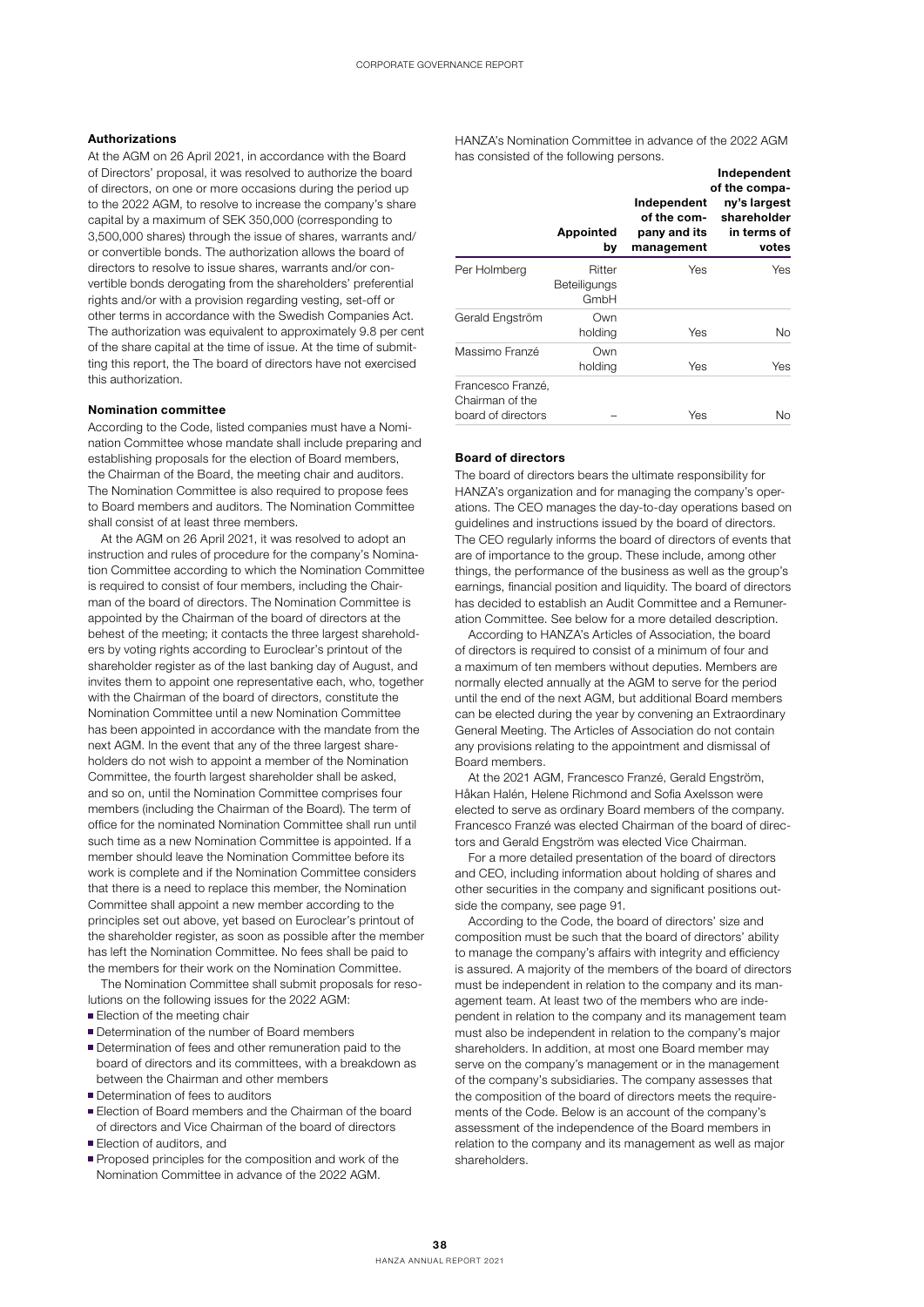## Authorizations

At the AGM on 26 April 2021, in accordance with the Board of Directors' proposal, it was resolved to authorize the board of directors, on one or more occasions during the period up to the 2022 AGM, to resolve to increase the company's share capital by a maximum of SEK 350,000 (corresponding to 3,500,000 shares) through the issue of shares, warrants and/ or convertible bonds. The authorization allows the board of directors to resolve to issue shares, warrants and/or convertible bonds derogating from the shareholders' preferential rights and/or with a provision regarding vesting, set-off or other terms in accordance with the Swedish Companies Act. The authorization was equivalent to approximately 9.8 per cent of the share capital at the time of issue. At the time of submitting this report, the The board of directors have not exercised this authorization.

#### Nomination committee

According to the Code, listed companies must have a Nomination Committee whose mandate shall include preparing and establishing proposals for the election of Board members, the Chairman of the Board, the meeting chair and auditors. The Nomination Committee is also required to propose fees to Board members and auditors. The Nomination Committee shall consist of at least three members.

At the AGM on 26 April 2021, it was resolved to adopt an instruction and rules of procedure for the company's Nomination Committee according to which the Nomination Committee is required to consist of four members, including the Chairman of the board of directors. The Nomination Committee is appointed by the Chairman of the board of directors at the behest of the meeting; it contacts the three largest shareholders by voting rights according to Euroclear's printout of the shareholder register as of the last banking day of August, and invites them to appoint one representative each, who, together with the Chairman of the board of directors, constitute the Nomination Committee until a new Nomination Committee has been appointed in accordance with the mandate from the next AGM. In the event that any of the three largest shareholders do not wish to appoint a member of the Nomination Committee, the fourth largest shareholder shall be asked, and so on, until the Nomination Committee comprises four members (including the Chairman of the Board). The term of office for the nominated Nomination Committee shall run until such time as a new Nomination Committee is appointed. If a member should leave the Nomination Committee before its work is complete and if the Nomination Committee considers that there is a need to replace this member, the Nomination Committee shall appoint a new member according to the principles set out above, yet based on Euroclear's printout of the shareholder register, as soon as possible after the member has left the Nomination Committee. No fees shall be paid to the members for their work on the Nomination Committee.

The Nomination Committee shall submit proposals for resolutions on the following issues for the 2022 AGM:

- Election of the meeting chair
- Determination of the number of Board members
- Determination of fees and other remuneration paid to the board of directors and its committees, with a breakdown as between the Chairman and other members
- **Determination of fees to auditors**
- Election of Board members and the Chairman of the board of directors and Vice Chairman of the board of directors
- **Election of auditors, and**
- **Proposed principles for the composition and work of the** Nomination Committee in advance of the 2022 AGM.

HANZA's Nomination Committee in advance of the 2022 AGM has consisted of the following persons.

|                                                            | Appointed<br>by                | Independent<br>of the com-<br>pany and its<br>management | Independent<br>of the compa-<br>ny's largest<br>shareholder<br>in terms of<br>votes |
|------------------------------------------------------------|--------------------------------|----------------------------------------------------------|-------------------------------------------------------------------------------------|
| Per Holmberg                                               | Ritter<br>Beteiligungs<br>GmbH | Yes                                                      | <b>Yes</b>                                                                          |
| Gerald Engström                                            | Own<br>holding                 | Yes                                                      | N <sub>o</sub>                                                                      |
| Massimo Franzé                                             | Own<br>holding                 | Yes                                                      | Yes                                                                                 |
| Francesco Franzé,<br>Chairman of the<br>board of directors |                                | Yes                                                      | Nο                                                                                  |

## Board of directors

The board of directors bears the ultimate responsibility for HANZA's organization and for managing the company's operations. The CEO manages the day-to-day operations based on guidelines and instructions issued by the board of directors. The CEO regularly informs the board of directors of events that are of importance to the group. These include, among other things, the performance of the business as well as the group's earnings, financial position and liquidity. The board of directors has decided to establish an Audit Committee and a Remuneration Committee. See below for a more detailed description.

According to HANZA's Articles of Association, the board of directors is required to consist of a minimum of four and a maximum of ten members without deputies. Members are normally elected annually at the AGM to serve for the period until the end of the next AGM, but additional Board members can be elected during the year by convening an Extraordinary General Meeting. The Articles of Association do not contain any provisions relating to the appointment and dismissal of Board members.

At the 2021 AGM, Francesco Franzé, Gerald Engström, Håkan Halén, Helene Richmond and Sofia Axelsson were elected to serve as ordinary Board members of the company. Francesco Franzé was elected Chairman of the board of directors and Gerald Engström was elected Vice Chairman.

For a more detailed presentation of the board of directors and CEO, including information about holding of shares and other securities in the company and significant positions outside the company, see page 91.

According to the Code, the board of directors' size and composition must be such that the board of directors' ability to manage the company's affairs with integrity and efficiency is assured. A majority of the members of the board of directors must be independent in relation to the company and its management team. At least two of the members who are independent in relation to the company and its management team must also be independent in relation to the company's major shareholders. In addition, at most one Board member may serve on the company's management or in the management of the company's subsidiaries. The company assesses that the composition of the board of directors meets the requirements of the Code. Below is an account of the company's assessment of the independence of the Board members in relation to the company and its management as well as major shareholders.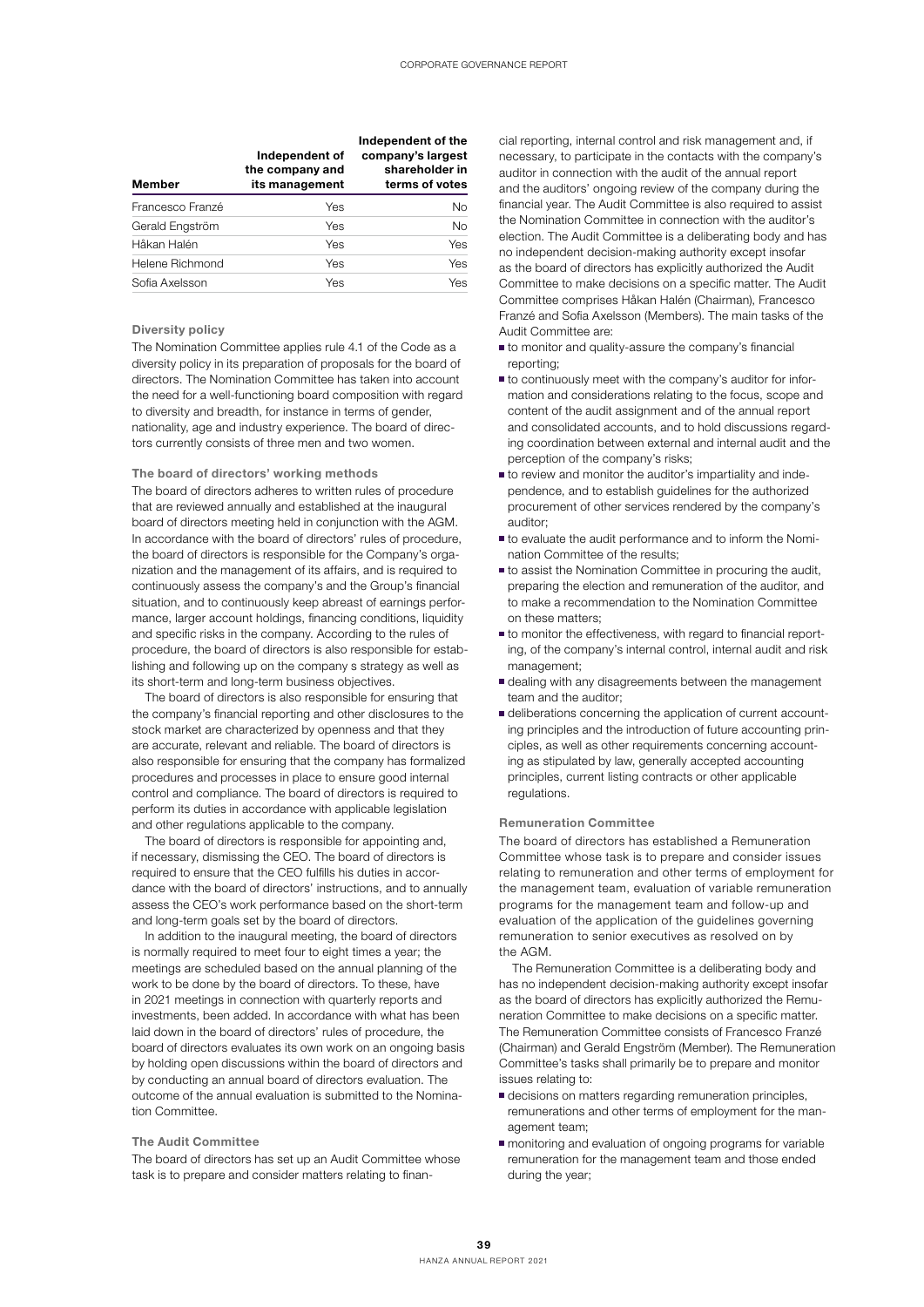| <b>Member</b>    | Independent of<br>the company and<br>its management | Independent of the<br>company's largest<br>shareholder in<br>terms of votes |
|------------------|-----------------------------------------------------|-----------------------------------------------------------------------------|
| Francesco Franzé | Yes                                                 | N <sub>o</sub>                                                              |
| Gerald Engström  | Yes                                                 | <b>No</b>                                                                   |
| Håkan Halén      | Yes                                                 | Yes                                                                         |
| Helene Richmond  | Yes                                                 | Yes                                                                         |
| Sofia Axelsson   | Yes                                                 | Yes                                                                         |

## Diversity policy

The Nomination Committee applies rule 4.1 of the Code as a diversity policy in its preparation of proposals for the board of directors. The Nomination Committee has taken into account the need for a well-functioning board composition with regard to diversity and breadth, for instance in terms of gender, nationality, age and industry experience. The board of directors currently consists of three men and two women.

## The board of directors' working methods

The board of directors adheres to written rules of procedure that are reviewed annually and established at the inaugural board of directors meeting held in conjunction with the AGM. In accordance with the board of directors' rules of procedure, the board of directors is responsible for the Company's organization and the management of its affairs, and is required to continuously assess the company's and the Group's financial situation, and to continuously keep abreast of earnings performance, larger account holdings, financing conditions, liquidity and specific risks in the company. According to the rules of procedure, the board of directors is also responsible for establishing and following up on the company s strategy as well as its short-term and long-term business objectives.

The board of directors is also responsible for ensuring that the company's financial reporting and other disclosures to the stock market are characterized by openness and that they are accurate, relevant and reliable. The board of directors is also responsible for ensuring that the company has formalized procedures and processes in place to ensure good internal control and compliance. The board of directors is required to perform its duties in accordance with applicable legislation and other regulations applicable to the company.

The board of directors is responsible for appointing and, if necessary, dismissing the CEO. The board of directors is required to ensure that the CEO fulfills his duties in accordance with the board of directors' instructions, and to annually assess the CEO's work performance based on the short-term and long-term goals set by the board of directors.

In addition to the inaugural meeting, the board of directors is normally required to meet four to eight times a year; the meetings are scheduled based on the annual planning of the work to be done by the board of directors. To these, have in 2021 meetings in connection with quarterly reports and investments, been added. In accordance with what has been laid down in the board of directors' rules of procedure, the board of directors evaluates its own work on an ongoing basis by holding open discussions within the board of directors and by conducting an annual board of directors evaluation. The outcome of the annual evaluation is submitted to the Nomination Committee.

## The Audit Committee

The board of directors has set up an Audit Committee whose task is to prepare and consider matters relating to financial reporting, internal control and risk management and, if necessary, to participate in the contacts with the company's auditor in connection with the audit of the annual report and the auditors' ongoing review of the company during the financial year. The Audit Committee is also required to assist the Nomination Committee in connection with the auditor's election. The Audit Committee is a deliberating body and has no independent decision-making authority except insofar as the board of directors has explicitly authorized the Audit Committee to make decisions on a specific matter. The Audit Committee comprises Håkan Halén (Chairman), Francesco Franzé and Sofia Axelsson (Members). The main tasks of the Audit Committee are:

- to monitor and quality-assure the company's financial reporting;
- to continuously meet with the company's auditor for information and considerations relating to the focus, scope and content of the audit assignment and of the annual report and consolidated accounts, and to hold discussions regarding coordination between external and internal audit and the perception of the company's risks;
- to review and monitor the auditor's impartiality and independence, and to establish guidelines for the authorized procurement of other services rendered by the company's auditor;
- to evaluate the audit performance and to inform the Nomination Committee of the results;
- to assist the Nomination Committee in procuring the audit, preparing the election and remuneration of the auditor, and to make a recommendation to the Nomination Committee on these matters;
- to monitor the effectiveness, with regard to financial reporting, of the company's internal control, internal audit and risk management;
- dealing with any disagreements between the management team and the auditor;
- deliberations concerning the application of current accounting principles and the introduction of future accounting principles, as well as other requirements concerning accounting as stipulated by law, generally accepted accounting principles, current listing contracts or other applicable regulations.

## Remuneration Committee

The board of directors has established a Remuneration Committee whose task is to prepare and consider issues relating to remuneration and other terms of employment for the management team, evaluation of variable remuneration programs for the management team and follow-up and evaluation of the application of the guidelines governing remuneration to senior executives as resolved on by the AGM.

The Remuneration Committee is a deliberating body and has no independent decision-making authority except insofar as the board of directors has explicitly authorized the Remuneration Committee to make decisions on a specific matter. The Remuneration Committee consists of Francesco Franzé (Chairman) and Gerald Engström (Member). The Remuneration Committee's tasks shall primarily be to prepare and monitor issues relating to:

- decisions on matters regarding remuneration principles, remunerations and other terms of employment for the management team;
- monitoring and evaluation of ongoing programs for variable remuneration for the management team and those ended during the year;